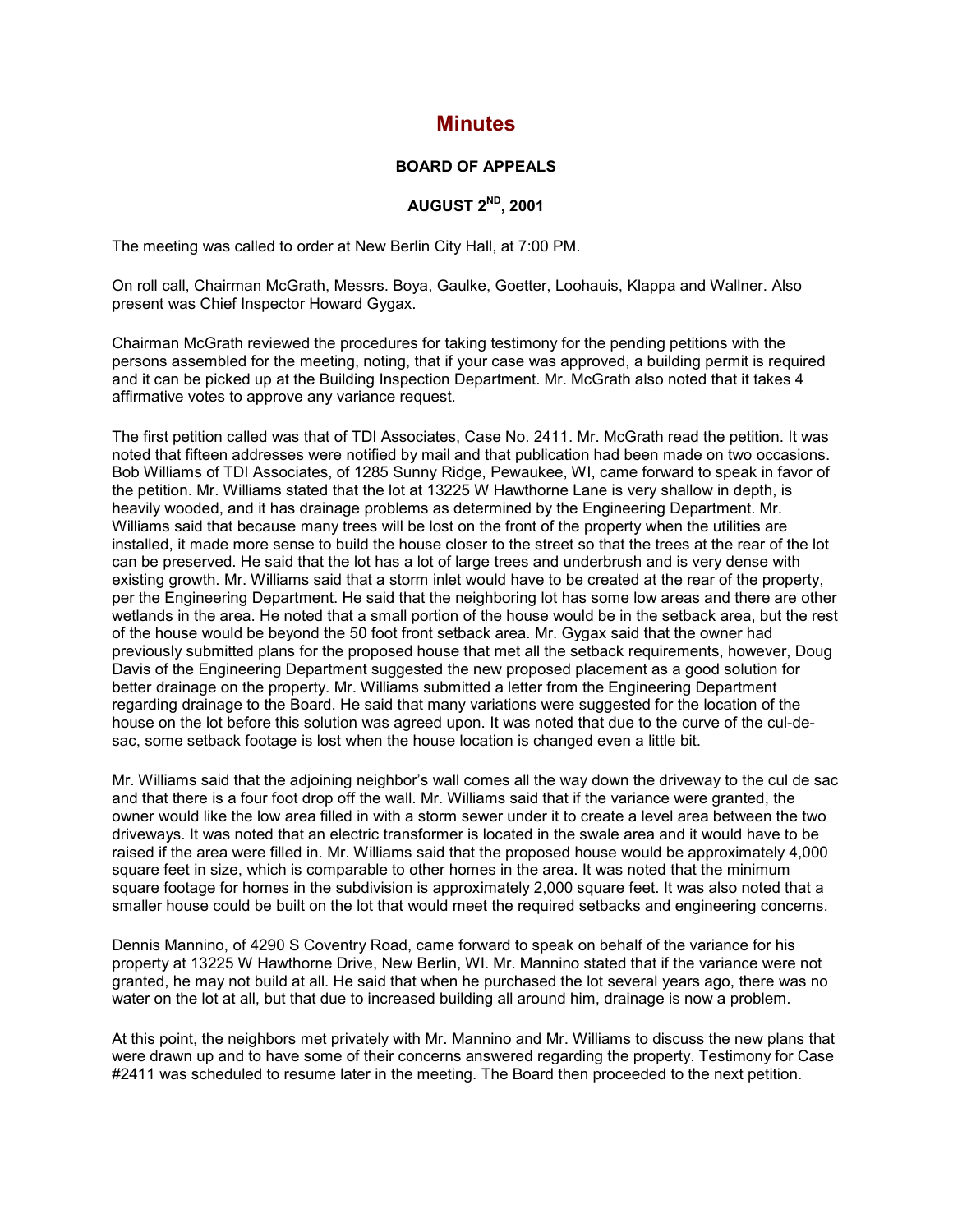# **Minutes**

### **BOARD OF APPEALS**

## **AUGUST 2ND, 2001**

The meeting was called to order at New Berlin City Hall, at 7:00 PM.

On roll call, Chairman McGrath, Messrs. Boya, Gaulke, Goetter, Loohauis, Klappa and Wallner. Also present was Chief Inspector Howard Gygax.

Chairman McGrath reviewed the procedures for taking testimony for the pending petitions with the persons assembled for the meeting, noting, that if your case was approved, a building permit is required and it can be picked up at the Building Inspection Department. Mr. McGrath also noted that it takes 4 affirmative votes to approve any variance request.

The first petition called was that of TDI Associates, Case No. 2411. Mr. McGrath read the petition. It was noted that fifteen addresses were notified by mail and that publication had been made on two occasions. Bob Williams of TDI Associates, of 1285 Sunny Ridge, Pewaukee, WI, came forward to speak in favor of the petition. Mr. Williams stated that the lot at 13225 W Hawthorne Lane is very shallow in depth, is heavily wooded, and it has drainage problems as determined by the Engineering Department. Mr. Williams said that because many trees will be lost on the front of the property when the utilities are installed, it made more sense to build the house closer to the street so that the trees at the rear of the lot can be preserved. He said that the lot has a lot of large trees and underbrush and is very dense with existing growth. Mr. Williams said that a storm inlet would have to be created at the rear of the property, per the Engineering Department. He said that the neighboring lot has some low areas and there are other wetlands in the area. He noted that a small portion of the house would be in the setback area, but the rest of the house would be beyond the 50 foot front setback area. Mr. Gygax said that the owner had previously submitted plans for the proposed house that met all the setback requirements, however, Doug Davis of the Engineering Department suggested the new proposed placement as a good solution for better drainage on the property. Mr. Williams submitted a letter from the Engineering Department regarding drainage to the Board. He said that many variations were suggested for the location of the house on the lot before this solution was agreed upon. It was noted that due to the curve of the cul-desac, some setback footage is lost when the house location is changed even a little bit.

Mr. Williams said that the adjoining neighbor's wall comes all the way down the driveway to the cul de sac and that there is a four foot drop off the wall. Mr. Williams said that if the variance were granted, the owner would like the low area filled in with a storm sewer under it to create a level area between the two driveways. It was noted that an electric transformer is located in the swale area and it would have to be raised if the area were filled in. Mr. Williams said that the proposed house would be approximately 4,000 square feet in size, which is comparable to other homes in the area. It was noted that the minimum square footage for homes in the subdivision is approximately 2,000 square feet. It was also noted that a smaller house could be built on the lot that would meet the required setbacks and engineering concerns.

Dennis Mannino, of 4290 S Coventry Road, came forward to speak on behalf of the variance for his property at 13225 W Hawthorne Drive, New Berlin, WI. Mr. Mannino stated that if the variance were not granted, he may not build at all. He said that when he purchased the lot several years ago, there was no water on the lot at all, but that due to increased building all around him, drainage is now a problem.

At this point, the neighbors met privately with Mr. Mannino and Mr. Williams to discuss the new plans that were drawn up and to have some of their concerns answered regarding the property. Testimony for Case #2411 was scheduled to resume later in the meeting. The Board then proceeded to the next petition.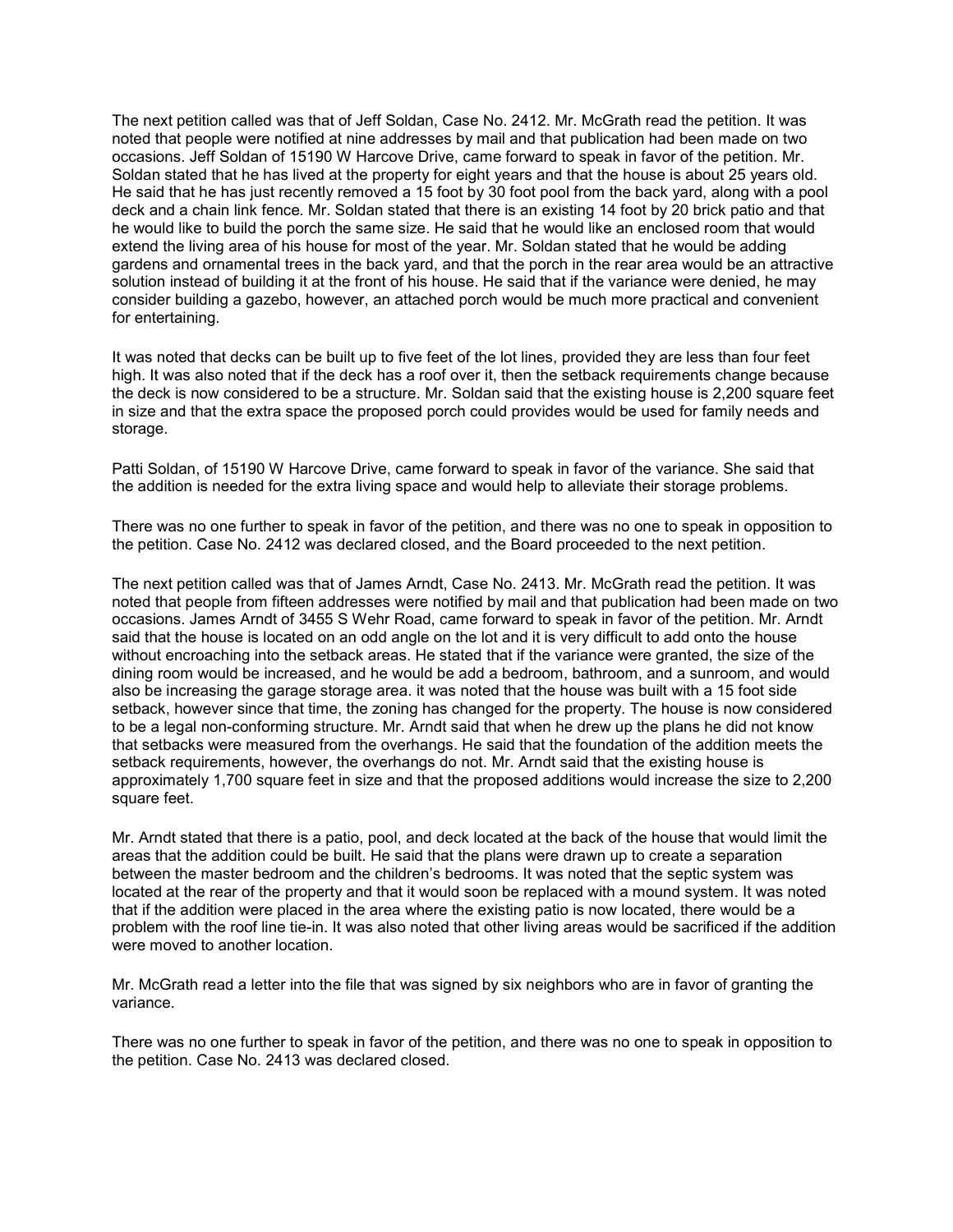The next petition called was that of Jeff Soldan, Case No. 2412. Mr. McGrath read the petition. It was noted that people were notified at nine addresses by mail and that publication had been made on two occasions. Jeff Soldan of 15190 W Harcove Drive, came forward to speak in favor of the petition. Mr. Soldan stated that he has lived at the property for eight years and that the house is about 25 years old. He said that he has just recently removed a 15 foot by 30 foot pool from the back yard, along with a pool deck and a chain link fence. Mr. Soldan stated that there is an existing 14 foot by 20 brick patio and that he would like to build the porch the same size. He said that he would like an enclosed room that would extend the living area of his house for most of the year. Mr. Soldan stated that he would be adding gardens and ornamental trees in the back yard, and that the porch in the rear area would be an attractive solution instead of building it at the front of his house. He said that if the variance were denied, he may consider building a gazebo, however, an attached porch would be much more practical and convenient for entertaining.

It was noted that decks can be built up to five feet of the lot lines, provided they are less than four feet high. It was also noted that if the deck has a roof over it, then the setback requirements change because the deck is now considered to be a structure. Mr. Soldan said that the existing house is 2,200 square feet in size and that the extra space the proposed porch could provides would be used for family needs and storage.

Patti Soldan, of 15190 W Harcove Drive, came forward to speak in favor of the variance. She said that the addition is needed for the extra living space and would help to alleviate their storage problems.

There was no one further to speak in favor of the petition, and there was no one to speak in opposition to the petition. Case No. 2412 was declared closed, and the Board proceeded to the next petition.

The next petition called was that of James Arndt, Case No. 2413. Mr. McGrath read the petition. It was noted that people from fifteen addresses were notified by mail and that publication had been made on two occasions. James Arndt of 3455 S Wehr Road, came forward to speak in favor of the petition. Mr. Arndt said that the house is located on an odd angle on the lot and it is very difficult to add onto the house without encroaching into the setback areas. He stated that if the variance were granted, the size of the dining room would be increased, and he would be add a bedroom, bathroom, and a sunroom, and would also be increasing the garage storage area. it was noted that the house was built with a 15 foot side setback, however since that time, the zoning has changed for the property. The house is now considered to be a legal non-conforming structure. Mr. Arndt said that when he drew up the plans he did not know that setbacks were measured from the overhangs. He said that the foundation of the addition meets the setback requirements, however, the overhangs do not. Mr. Arndt said that the existing house is approximately 1,700 square feet in size and that the proposed additions would increase the size to 2,200 square feet.

Mr. Arndt stated that there is a patio, pool, and deck located at the back of the house that would limit the areas that the addition could be built. He said that the plans were drawn up to create a separation between the master bedroom and the children's bedrooms. It was noted that the septic system was located at the rear of the property and that it would soon be replaced with a mound system. It was noted that if the addition were placed in the area where the existing patio is now located, there would be a problem with the roof line tie-in. It was also noted that other living areas would be sacrificed if the addition were moved to another location.

Mr. McGrath read a letter into the file that was signed by six neighbors who are in favor of granting the variance.

There was no one further to speak in favor of the petition, and there was no one to speak in opposition to the petition. Case No. 2413 was declared closed.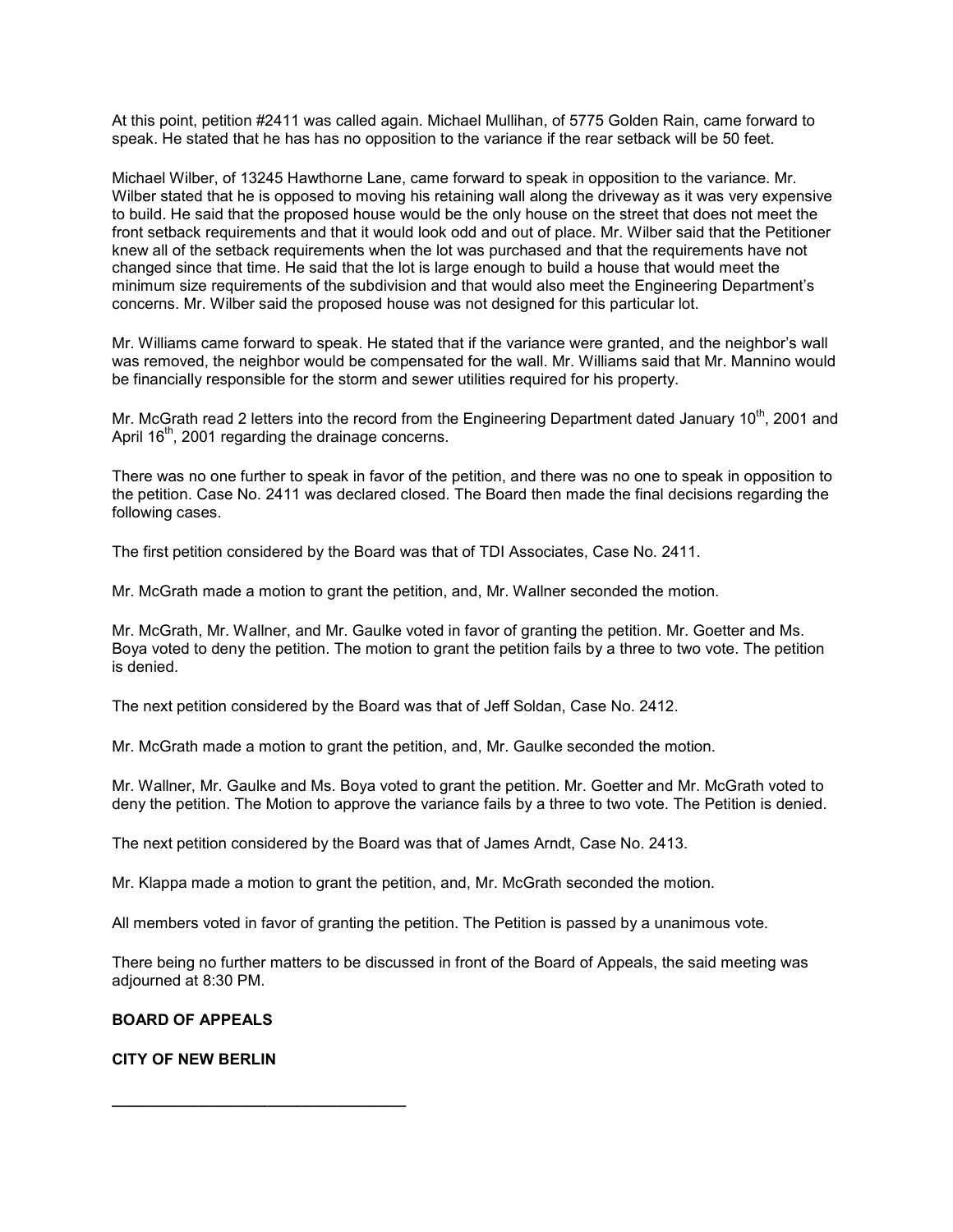At this point, petition #2411 was called again. Michael Mullihan, of 5775 Golden Rain, came forward to speak. He stated that he has has no opposition to the variance if the rear setback will be 50 feet.

Michael Wilber, of 13245 Hawthorne Lane, came forward to speak in opposition to the variance. Mr. Wilber stated that he is opposed to moving his retaining wall along the driveway as it was very expensive to build. He said that the proposed house would be the only house on the street that does not meet the front setback requirements and that it would look odd and out of place. Mr. Wilber said that the Petitioner knew all of the setback requirements when the lot was purchased and that the requirements have not changed since that time. He said that the lot is large enough to build a house that would meet the minimum size requirements of the subdivision and that would also meet the Engineering Department's concerns. Mr. Wilber said the proposed house was not designed for this particular lot.

Mr. Williams came forward to speak. He stated that if the variance were granted, and the neighbor's wall was removed, the neighbor would be compensated for the wall. Mr. Williams said that Mr. Mannino would be financially responsible for the storm and sewer utilities required for his property.

Mr. McGrath read 2 letters into the record from the Engineering Department dated January 10<sup>th</sup>, 2001 and April 16<sup>th</sup>, 2001 regarding the drainage concerns.

There was no one further to speak in favor of the petition, and there was no one to speak in opposition to the petition. Case No. 2411 was declared closed. The Board then made the final decisions regarding the following cases.

The first petition considered by the Board was that of TDI Associates, Case No. 2411.

Mr. McGrath made a motion to grant the petition, and, Mr. Wallner seconded the motion.

Mr. McGrath, Mr. Wallner, and Mr. Gaulke voted in favor of granting the petition. Mr. Goetter and Ms. Boya voted to deny the petition. The motion to grant the petition fails by a three to two vote. The petition is denied.

The next petition considered by the Board was that of Jeff Soldan, Case No. 2412.

Mr. McGrath made a motion to grant the petition, and, Mr. Gaulke seconded the motion.

Mr. Wallner, Mr. Gaulke and Ms. Boya voted to grant the petition. Mr. Goetter and Mr. McGrath voted to deny the petition. The Motion to approve the variance fails by a three to two vote. The Petition is denied.

The next petition considered by the Board was that of James Arndt, Case No. 2413.

Mr. Klappa made a motion to grant the petition, and, Mr. McGrath seconded the motion.

All members voted in favor of granting the petition. The Petition is passed by a unanimous vote.

There being no further matters to be discussed in front of the Board of Appeals, the said meeting was adjourned at 8:30 PM.

### **BOARD OF APPEALS**

#### **CITY OF NEW BERLIN**

**\_\_\_\_\_\_\_\_\_\_\_\_\_\_\_\_\_\_\_\_\_\_\_\_\_\_\_\_\_\_\_\_\_\_**